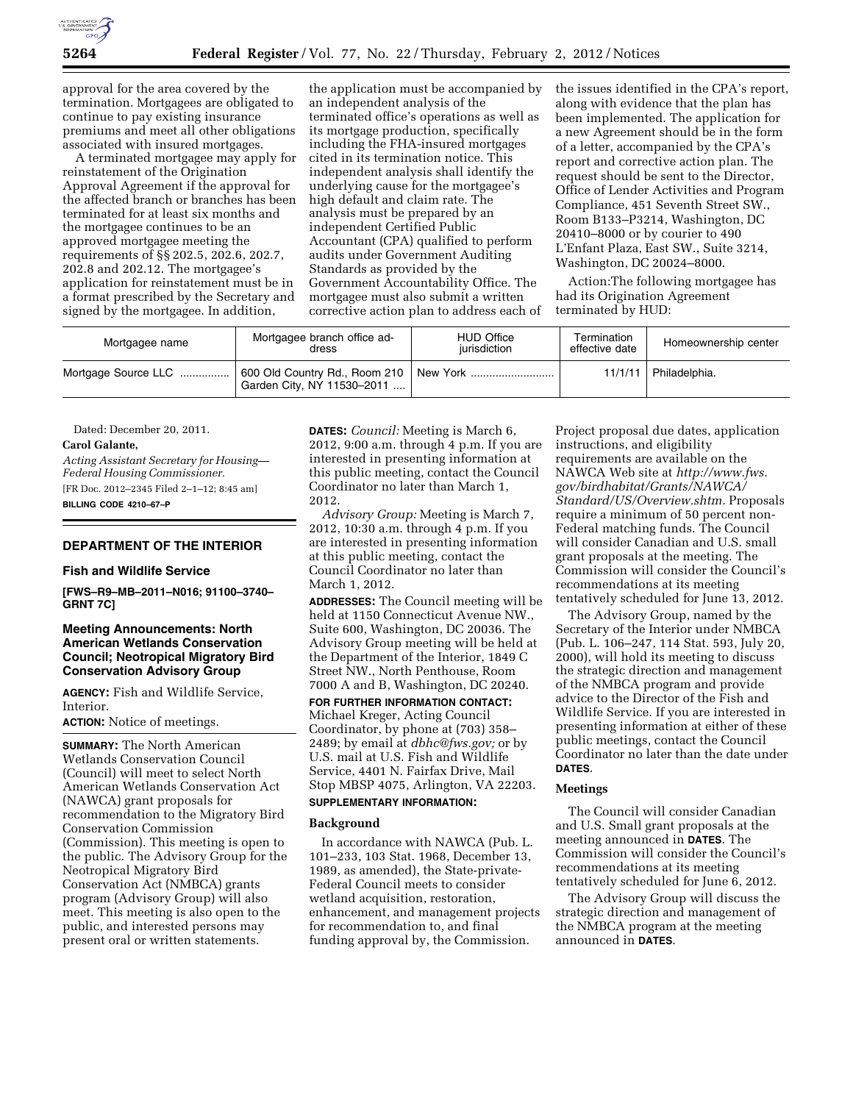

approval for the area covered by the termination. Mortgagees are obligated to continue to pay existing insurance premiums and meet all other obligations associated with insured mortgages.

A terminated mortgagee may apply for reinstatement of the Origination Approval Agreement if the approval for the affected branch or branches has been terminated for at least six months and the mortgagee continues to be an approved mortgagee meeting the requirements of §§ 202.5, 202.6, 202.7, 202.8 and 202.12. The mortgagee's application for reinstatement must be in a format prescribed by the Secretary and signed by the mortgagee. In addition,

the application must be accompanied by an independent analysis of the terminated office's operations as well as its mortgage production, specifically including the FHA-insured mortgages cited in its termination notice. This independent analysis shall identify the underlying cause for the mortgagee's high default and claim rate. The analysis must be prepared by an independent Certified Public Accountant (CPA) qualified to perform audits under Government Auditing Standards as provided by the Government Accountability Office. The mortgagee must also submit a written corrective action plan to address each of the issues identified in the CPA's report, along with evidence that the plan has been implemented. The application for a new Agreement should be in the form of a letter, accompanied by the CPA's report and corrective action plan. The request should be sent to the Director, Office of Lender Activities and Program Compliance, 451 Seventh Street SW., Room B133–P3214, Washington, DC 20410–8000 or by courier to 490 L'Enfant Plaza, East SW., Suite 3214, Washington, DC 20024–8000.

Action:The following mortgagee has had its Origination Agreement terminated by HUD:

| Mortgagee name      | Mortgagee branch office ad-<br>dress                                   | <b>HUD Office</b><br>iurisdiction | Termination<br>effective date | Homeownership center |
|---------------------|------------------------------------------------------------------------|-----------------------------------|-------------------------------|----------------------|
| Mortgage Source LLC | 600 Old Country Rd., Room 210   New York<br>Garden City, NY 11530-2011 |                                   | 11/1/11                       | Philadelphia.        |

Dated: December 20, 2011.

### **Carol Galante,**

*Acting Assistant Secretary for Housing— Federal Housing Commissioner.*  [FR Doc. 2012–2345 Filed 2–1–12; 8:45 am]

**BILLING CODE 4210–67–P** 

### **DEPARTMENT OF THE INTERIOR**

#### **Fish and Wildlife Service**

**[FWS–R9–MB–2011–N016; 91100–3740– GRNT 7C]** 

## **Meeting Announcements: North American Wetlands Conservation Council; Neotropical Migratory Bird Conservation Advisory Group**

**AGENCY:** Fish and Wildlife Service, Interior.

**ACTION:** Notice of meetings.

**SUMMARY:** The North American Wetlands Conservation Council (Council) will meet to select North American Wetlands Conservation Act (NAWCA) grant proposals for recommendation to the Migratory Bird Conservation Commission (Commission). This meeting is open to the public. The Advisory Group for the Neotropical Migratory Bird Conservation Act (NMBCA) grants program (Advisory Group) will also meet. This meeting is also open to the public, and interested persons may present oral or written statements.

**DATES:** *Council:* Meeting is March 6, 2012, 9:00 a.m. through 4 p.m. If you are interested in presenting information at this public meeting, contact the Council Coordinator no later than March 1, 2012.

*Advisory Group:* Meeting is March 7, 2012, 10:30 a.m. through 4 p.m. If you are interested in presenting information at this public meeting, contact the Council Coordinator no later than March 1, 2012.

**ADDRESSES:** The Council meeting will be held at 1150 Connecticut Avenue NW., Suite 600, Washington, DC 20036. The Advisory Group meeting will be held at the Department of the Interior, 1849 C Street NW., North Penthouse, Room 7000 A and B, Washington, DC 20240.

**FOR FURTHER INFORMATION CONTACT:**  Michael Kreger, Acting Council Coordinator, by phone at (703) 358– 2489; by email at *[dbhc@fws.gov;](mailto:dbhc@fws.gov)* or by U.S. mail at U.S. Fish and Wildlife Service, 4401 N. Fairfax Drive, Mail Stop MBSP 4075, Arlington, VA 22203.

## **SUPPLEMENTARY INFORMATION:**

### **Background**

In accordance with NAWCA (Pub. L. 101–233, 103 Stat. 1968, December 13, 1989, as amended), the State-private-Federal Council meets to consider wetland acquisition, restoration, enhancement, and management projects for recommendation to, and final funding approval by, the Commission.

Project proposal due dates, application instructions, and eligibility requirements are available on the NAWCA Web site at *[http://www.fws.](http://www.fws.gov/birdhabitat/Grants/NAWCA/Standard/US/Overview.shtm) [gov/birdhabitat/Grants/NAWCA/](http://www.fws.gov/birdhabitat/Grants/NAWCA/Standard/US/Overview.shtm) [Standard/US/Overview.shtm.](http://www.fws.gov/birdhabitat/Grants/NAWCA/Standard/US/Overview.shtm)* Proposals require a minimum of 50 percent non-Federal matching funds. The Council will consider Canadian and U.S. small grant proposals at the meeting. The Commission will consider the Council's recommendations at its meeting tentatively scheduled for June 13, 2012.

The Advisory Group, named by the Secretary of the Interior under NMBCA (Pub. L. 106–247, 114 Stat. 593, July 20, 2000), will hold its meeting to discuss the strategic direction and management of the NMBCA program and provide advice to the Director of the Fish and Wildlife Service. If you are interested in presenting information at either of these public meetings, contact the Council Coordinator no later than the date under **DATES**.

### **Meetings**

The Council will consider Canadian and U.S. Small grant proposals at the meeting announced in **DATES**. The Commission will consider the Council's recommendations at its meeting tentatively scheduled for June 6, 2012.

The Advisory Group will discuss the strategic direction and management of the NMBCA program at the meeting announced in **DATES**.